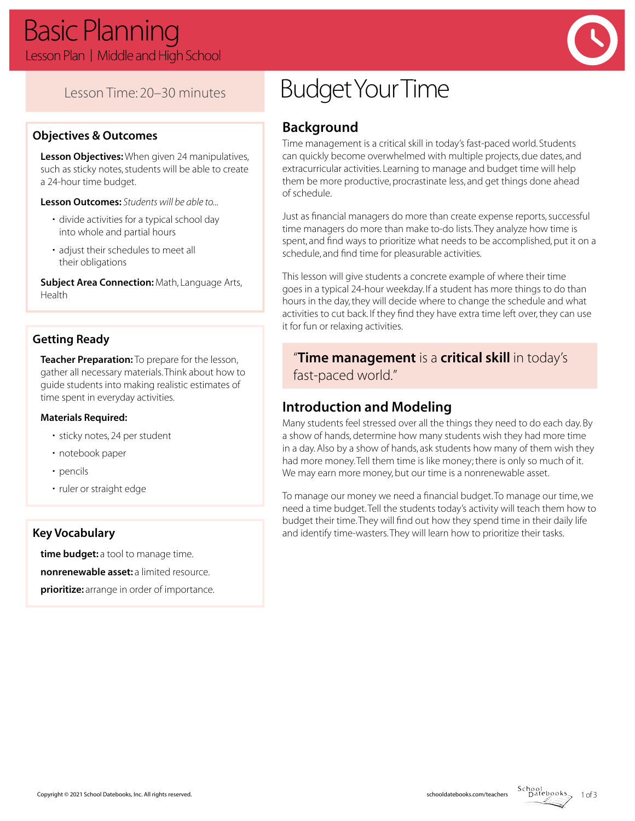

### Lesson Time: 20–30 minutes

### **Objectives & Outcomes**

**Lesson Objectives:** When given 24 manipulatives, such as sticky notes, students will be able to create a 24-hour time budget.

**Lesson Outcomes:** *Students will be able to...*

- divide activities for a typical school day into whole and partial hours
- adjust their schedules to meet all their obligations

**Subject Area Connection:** Math, Language Arts, Health

### **Getting Ready**

**Teacher Preparation:** To prepare for the lesson, gather all necessary materials. Think about how to guide students into making realistic estimates of time spent in everyday activities.

#### **Materials Required:**

- sticky notes, 24 per student
- notebook paper
- pencils
- ruler or straight edge

### **Key Vocabulary**

**time budget:** a tool to manage time. **nonrenewable asset:** a limited resource. **prioritize:** arrange in order of importance.

# Budget Your Time

# **Background**

Time management is a critical skill in today's fast-paced world. Students can quickly become overwhelmed with multiple projects, due dates, and extracurricular activities. Learning to manage and budget time will help them be more productive, procrastinate less, and get things done ahead of schedule.

Just as financial managers do more than create expense reports, successful time managers do more than make to-do lists. They analyze how time is spent, and find ways to prioritize what needs to be accomplished, put it on a schedule, and find time for pleasurable activities.

This lesson will give students a concrete example of where their time goes in a typical 24-hour weekday. If a student has more things to do than hours in the day, they will decide where to change the schedule and what activities to cut back. If they find they have extra time left over, they can use it for fun or relaxing activities.

### "**Time management** is a **critical skill** in today's fast-paced world."

### **Introduction and Modeling**

Many students feel stressed over all the things they need to do each day. By a show of hands, determine how many students wish they had more time in a day. Also by a show of hands, ask students how many of them wish they had more money. Tell them time is like money; there is only so much of it. We may earn more money, but our time is a nonrenewable asset.

To manage our money we need a financial budget. To manage our time, we need a time budget. Tell the students today's activity will teach them how to budget their time. They will find out how they spend time in their daily life and identify time-wasters. They will learn how to prioritize their tasks.

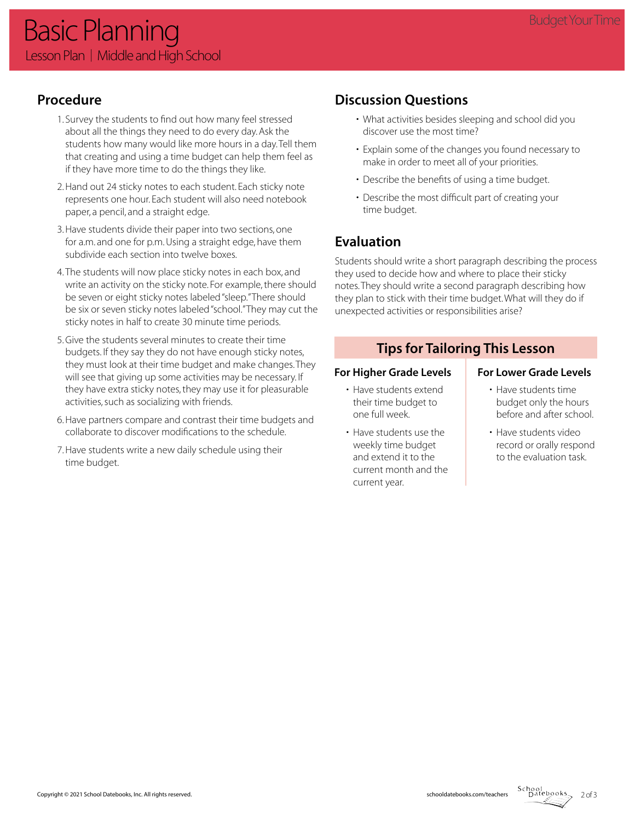# **Procedure**

- 1. Survey the students to find out how many feel stressed about all the things they need to do every day. Ask the students how many would like more hours in a day. Tell them that creating and using a time budget can help them feel as if they have more time to do the things they like.
- 2. Hand out 24 sticky notes to each student. Each sticky note represents one hour. Each student will also need notebook paper, a pencil, and a straight edge.
- 3. Have students divide their paper into two sections, one for a.m. and one for p.m. Using a straight edge, have them subdivide each section into twelve boxes.
- 4. The students will now place sticky notes in each box, and write an activity on the sticky note. For example, there should be seven or eight sticky notes labeled "sleep." There should be six or seven sticky notes labeled "school." They may cut the sticky notes in half to create 30 minute time periods.
- 5. Give the students several minutes to create their time budgets. If they say they do not have enough sticky notes, they must look at their time budget and make changes. They will see that giving up some activities may be necessary. If they have extra sticky notes, they may use it for pleasurable activities, such as socializing with friends.
- 6. Have partners compare and contrast their time budgets and collaborate to discover modifications to the schedule.
- 7. Have students write a new daily schedule using their time budget.

# **Discussion Questions**

- What activities besides sleeping and school did you discover use the most time?
- Explain some of the changes you found necessary to make in order to meet all of your priorities.
- Describe the benefits of using a time budget.
- Describe the most difficult part of creating your time budget.

# **Evaluation**

Students should write a short paragraph describing the process they used to decide how and where to place their sticky notes. They should write a second paragraph describing how they plan to stick with their time budget. What will they do if unexpected activities or responsibilities arise?

### **Tips for Tailoring This Lesson**

### For Higher Grade Levels **For Lower Grade Levels**

# • Have students time

- Have students extend their time budget to one full week.
- Have students use the weekly time budget and extend it to the current month and the current year.
- budget only the hours before and after school.
- Have students video record or orally respond to the evaluation task.